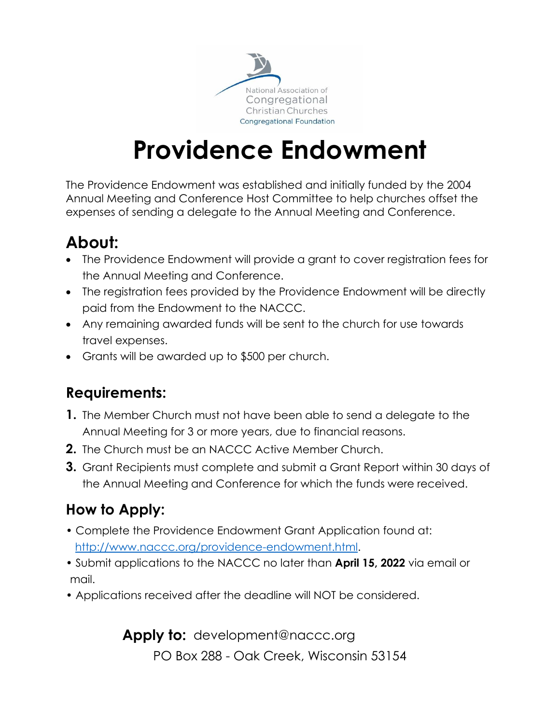

# **Providence Endowment**

The Providence Endowment was established and initially funded by the 2004 Annual Meeting and Conference Host Committee to help churches offset the expenses of sending a delegate to the Annual Meeting and Conference.

## **About:**

- The Providence Endowment will provide a grant to cover registration fees for the Annual Meeting and Conference.
- The registration fees provided by the Providence Endowment will be directly paid from the Endowment to the NACCC.
- Any remaining awarded funds will be sent to the church for use towards travel expenses.
- Grants will be awarded up to \$500 per church.

### **Requirements:**

- **1.** The Member Church must not have been able to send a delegate to the Annual Meeting for 3 or more years, due to financial reasons.
- **2.** The Church must be an NACCC Active Member Church.
- **3.** Grant Recipients must complete and submit a Grant Report within 30 days of the Annual Meeting and Conference for which the funds were received.

### **How to Apply:**

- Complete the Providence Endowment Grant Application found at: [http://www.naccc.org/providence-endowment.html.](http://www.naccc.org/providence-endowment.html)
- Submit applications to the NACCC no later than **April 15, 2022** via email or mail.
- Applications received after the deadline will NOT be considered.

**Apply to:** development@naccc.org PO Box 288 - Oak Creek, Wisconsin 53154